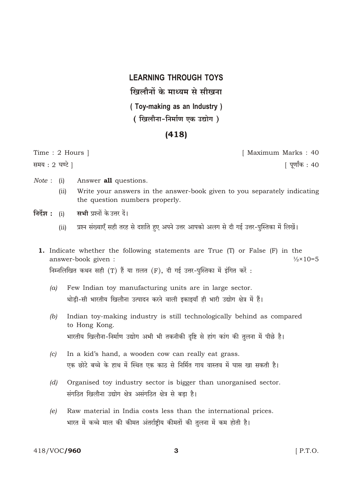## **LEARNING THROUGH TOYS** खिलौनों के माध्यम से सीखना (Toy-making as an Industry) ( खिलौना-निर्माण एक उद्योग )

## $(418)$

Time: 2 Hours 1 समय: 2 घण्टे |

[ Maximum Marks: 40

| पूर्णांक : 40

- $Note: (i)$ Answer all questions.
	- Write your answers in the answer-book given to you separately indicating  $(ii)$ the question numbers properly.
- निर्देश : (i) सभी प्रश्नों के उत्तर दें।
	- प्रश्न संख्याएँ सही तरह से दर्शाते हुए अपने उत्तर आपको अलग से दी गई उत्तर-पुस्तिका में लिखें।  $(ii)$
	- 1. Indicate whether the following statements are True (T) or False (F) in the  $\frac{1}{2} \times 10 = 5$ answer-book given: निम्नलिखित कथन सही (T) हैं या ग़लत (F), दी गई उत्तर-पुस्तिका में इंगित करें:
		- Few Indian toy manufacturing units are in large sector.  $(a)$ थोड़ी-सी भारतीय खिलौना उत्पादन करने वाली इकाइयाँ ही भारी उद्योग क्षेत्र में हैं।
		- Indian toy-making industry is still technologically behind as compared  $(b)$ to Hong Kong. भारतीय खिलौना-निर्माण उद्योग अभी भी तकनीकी दृष्टि से हांग कांग की तुलना में पीछे है।
		- In a kid's hand, a wooden cow can really eat grass.  $\left( c\right)$ एक छोटे बच्चे के हाथ में स्थित एक काठ से निर्मित गाय वास्तव में घास खा सकती है।
		- Organised toy industry sector is bigger than unorganised sector.  $(d)$ संगठित खिलौना उद्योग क्षेत्र असंगठित क्षेत्र से बड़ा है।
		- Raw material in India costs less than the international prices.  $(e)$ भारत में कच्चे माल की कीमत अंतर्राष्ट्रीय कीमतों की तुलना में कम होती है।

3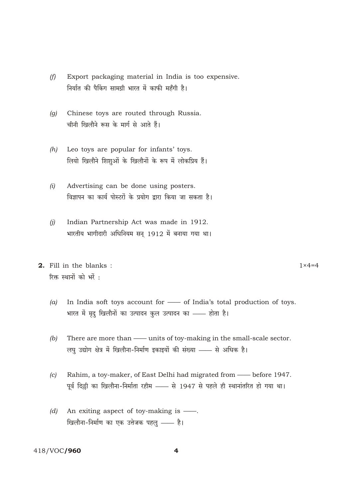- Export packaging material in India is too expensive.  $(f)$ निर्यात की पैकिंग सामग्री भारत में काफी महँगी है।
- $(q)$ Chinese toys are routed through Russia. चीनी खिलौने रूस के मार्ग से आते हैं।
- Leo toys are popular for infants' toys.  $(h)$ लियो खिलौने शिशुओं के खिलौनों के रूप में लोकप्रिय हैं।
- Advertising can be done using posters.  $(i)$ विज्ञापन का कार्य पोस्टरों के प्रयोग द्वारा किया जा सकता है।
- Indian Partnership Act was made in 1912.  $(i)$ भारतीय भागीदारी अधिनियम सन् 1912 में बनाया गया था।
- 2. Fill in the blanks: रिक्त स्थानों को भरें :

 $1 \times 4 = 4$ 

- In India soft toys account for of India's total production of toys.  $(a)$ भारत में मृदु खिलौनों का उत्पादन कुल उत्पादन का —— होता है।
- $(b)$ There are more than - units of toy-making in the small-scale sector. लघु उद्योग क्षेत्र में खिलौना-निर्माण इकाइयों की संख्या —— से अधिक है।
- $(c)$ Rahim, a toy-maker, of East Delhi had migrated from - before 1947. पूर्व दिल्ली का खिलौना-निर्माता रहीम - से 1947 से पहले ही स्थानांतरित हो गया था।
- (d) An exiting aspect of toy-making is  $\frac{1}{1}$ . खिलौना-निर्माण का एक उत्तेजक पहलु —— है।

## 418/VOC/960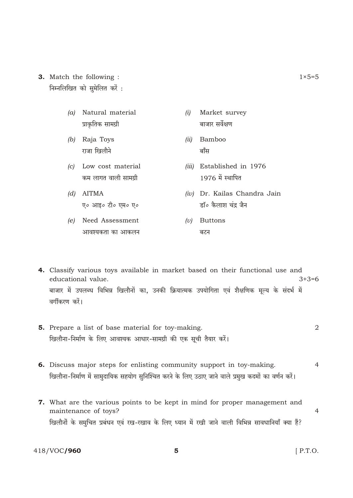- **3.** Match the following : निम्नलिखित को सुमेलित करें:
	- (a) Natural material प्राकृतिक सामग्री
	- (b) Raja Toys राजा खिलौने
	- (c) Low cost material कम लागत वाली सामग्री
	- $(d)$  AITMA ए० आइ० टी० एम० ए०
	- (e) Need Assessment आवश्यकता का आकलन
- (i) Market survey बाजार सर्वेक्षण
- (ii) Bamboo बॉंस
- (iii) Established in 1976 1976 में स्थापित
- $(iv)$  Dr. Kailas Chandra Jain डॉ० कैलाश चंद्र जैन
- $(v)$  Buttons बटन

4. Classify various toys available in market based on their functional use and educational value.  $3+3=6$ बाजार में उपलब्ध विभिन्न खिलौनों का, उनकी क्रियात्मक उपयोगिता एवं शैक्षणिक मूल्य के संदर्भ में वर्गीकरण करें।

- 5. Prepare a list of base material for toy-making.  $\overline{2}$ खिलौना-निर्माण के लिए आवश्यक आधार-सामग्री की एक सूची तैयार करें।
- 6. Discuss major steps for enlisting community support in toy-making.  $\overline{4}$ खिलौना-निर्माण में सामुदायिक सहयोग सुनिश्चित करने के लिए उठाए जाने वाले प्रमुख कदमों का वर्णन करें।
- 7. What are the various points to be kept in mind for proper management and maintenance of toys?  $\overline{4}$ खिलौनों के समुचित प्रबंधन एवं रख-रखाव के लिए ध्यान में रखी जाने वाली विभिन्न सावधानियाँ क्या हैं?

418/VOC/960

 $[$  P.T.O.